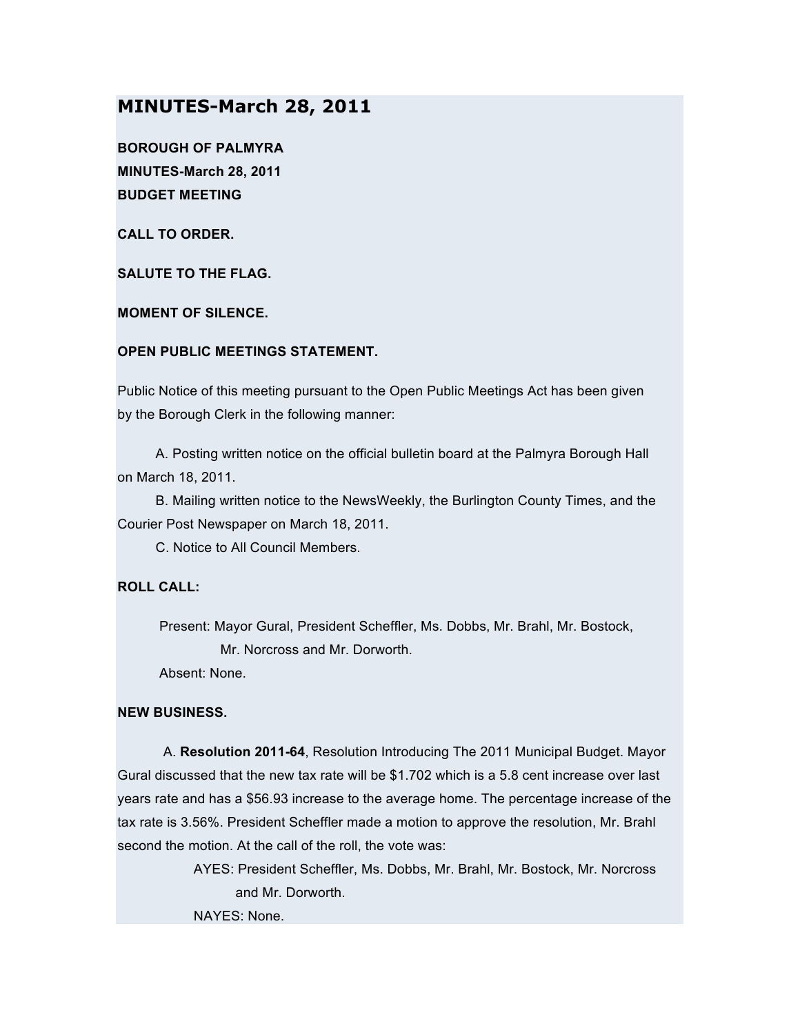# **MINUTES-March 28, 2011**

**BOROUGH OF PALMYRA MINUTES-March 28, 2011 BUDGET MEETING**

**CALL TO ORDER.**

**SALUTE TO THE FLAG.**

**MOMENT OF SILENCE.**

#### **OPEN PUBLIC MEETINGS STATEMENT.**

Public Notice of this meeting pursuant to the Open Public Meetings Act has been given by the Borough Clerk in the following manner:

A. Posting written notice on the official bulletin board at the Palmyra Borough Hall on March 18, 2011.

B. Mailing written notice to the NewsWeekly, the Burlington County Times, and the Courier Post Newspaper on March 18, 2011.

C. Notice to All Council Members.

## **ROLL CALL:**

Present: Mayor Gural, President Scheffler, Ms. Dobbs, Mr. Brahl, Mr. Bostock, Mr. Norcross and Mr. Dorworth.

Absent: None.

#### **NEW BUSINESS.**

A. **Resolution 2011-64**, Resolution Introducing The 2011 Municipal Budget. Mayor Gural discussed that the new tax rate will be \$1.702 which is a 5.8 cent increase over last years rate and has a \$56.93 increase to the average home. The percentage increase of the tax rate is 3.56%. President Scheffler made a motion to approve the resolution, Mr. Brahl second the motion. At the call of the roll, the vote was:

> AYES: President Scheffler, Ms. Dobbs, Mr. Brahl, Mr. Bostock, Mr. Norcross and Mr. Dorworth. NAYES: None.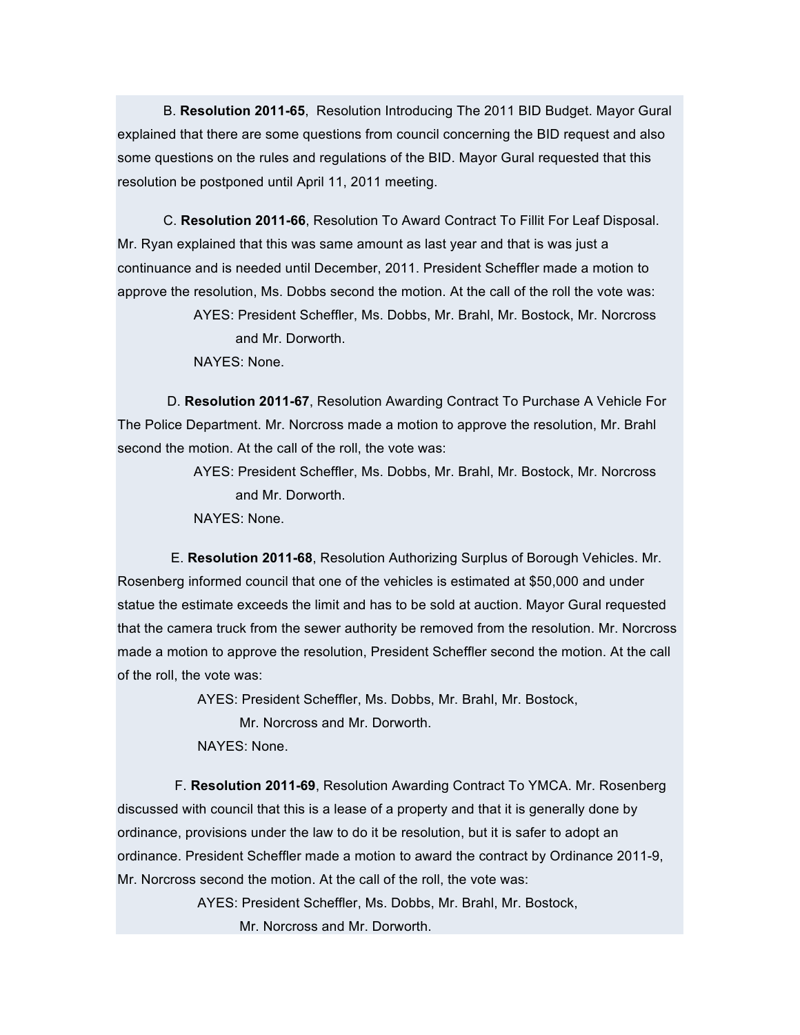B. **Resolution 2011-65**, Resolution Introducing The 2011 BID Budget. Mayor Gural explained that there are some questions from council concerning the BID request and also some questions on the rules and regulations of the BID. Mayor Gural requested that this resolution be postponed until April 11, 2011 meeting.

C. **Resolution 2011-66**, Resolution To Award Contract To Fillit For Leaf Disposal. Mr. Ryan explained that this was same amount as last year and that is was just a continuance and is needed until December, 2011. President Scheffler made a motion to approve the resolution, Ms. Dobbs second the motion. At the call of the roll the vote was:

> AYES: President Scheffler, Ms. Dobbs, Mr. Brahl, Mr. Bostock, Mr. Norcross and Mr. Dorworth.

NAYES: None.

D. **Resolution 2011-67**, Resolution Awarding Contract To Purchase A Vehicle For The Police Department. Mr. Norcross made a motion to approve the resolution, Mr. Brahl second the motion. At the call of the roll, the vote was:

> AYES: President Scheffler, Ms. Dobbs, Mr. Brahl, Mr. Bostock, Mr. Norcross and Mr. Dorworth.

NAYES: None.

E. **Resolution 2011-68**, Resolution Authorizing Surplus of Borough Vehicles. Mr. Rosenberg informed council that one of the vehicles is estimated at \$50,000 and under statue the estimate exceeds the limit and has to be sold at auction. Mayor Gural requested that the camera truck from the sewer authority be removed from the resolution. Mr. Norcross made a motion to approve the resolution, President Scheffler second the motion. At the call of the roll, the vote was:

AYES: President Scheffler, Ms. Dobbs, Mr. Brahl, Mr. Bostock,

Mr. Norcross and Mr. Dorworth.

NAYES: None.

F. **Resolution 2011-69**, Resolution Awarding Contract To YMCA. Mr. Rosenberg discussed with council that this is a lease of a property and that it is generally done by ordinance, provisions under the law to do it be resolution, but it is safer to adopt an ordinance. President Scheffler made a motion to award the contract by Ordinance 2011-9, Mr. Norcross second the motion. At the call of the roll, the vote was:

> AYES: President Scheffler, Ms. Dobbs, Mr. Brahl, Mr. Bostock, Mr. Norcross and Mr. Dorworth.